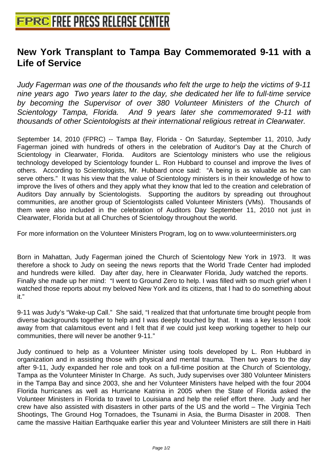## **[New York Transplant to Tampa B](http://www.free-press-release-center.info)ay Commemorated 9-11 with a Life of Service**

Judy Fagerman was one of the thousands who felt the urge to help the victims of 9-11 nine years ago Two years later to the day, she dedicated her life to full-time service by becoming the Supervisor of over 380 Volunteer Ministers of the Church of Scientology Tampa, Florida. And 9 years later she commemorated 9-11 with thousands of other Scientologists at their international religious retreat in Clearwater.

September 14, 2010 (FPRC) -- Tampa Bay, Florida - On Saturday, September 11, 2010, Judy Fagerman joined with hundreds of others in the celebration of Auditor's Day at the Church of Scientology in Clearwater, Florida. Auditors are Scientology ministers who use the religious technology developed by Scientology founder L. Ron Hubbard to counsel and improve the lives of others. According to Scientologists, Mr. Hubbard once said: "A being is as valuable as he can serve others." It was his view that the value of Scientology ministers is in their knowledge of how to improve the lives of others and they apply what they know that led to the creation and celebration of Auditors Day annually by Scientologists. Supporting the auditors by spreading out throughout communities, are another group of Scientologists called Volunteer Ministers (VMs). Thousands of them were also included in the celebration of Auditors Day September 11, 2010 not just in Clearwater, Florida but at all Churches of Scientology throughout the world.

For more information on the Volunteer Ministers Program, log on to www.volunteerministers.org

Born in Mahattan, Judy Fagerman joined the Church of Scientology New York in 1973. It was therefore a shock to Judy on seeing the news reports that the World Trade Center had imploded and hundreds were killed. Day after day, here in Clearwater Florida, Judy watched the reports. Finally she made up her mind: "I went to Ground Zero to help. I was filled with so much grief when I watched those reports about my beloved New York and its citizens, that I had to do something about it."

9-11 was Judy's "Wake-up Call." She said, "I realized that that unfortunate time brought people from diverse backgrounds together to help and I was deeply touched by that. It was a key lesson I took away from that calamitous event and I felt that if we could just keep working together to help our communities, there will never be another 9-11."

Judy continued to help as a Volunteer Minister using tools developed by L. Ron Hubbard in organization and in assisting those with physical and mental trauma. Then two years to the day after 9-11, Judy expanded her role and took on a full-time position at the Church of Scientology, Tampa as the Volunteer Minister In Charge. As such, Judy supervises over 380 Volunteer Ministers in the Tampa Bay and since 2003, she and her Volunteer Ministers have helped with the four 2004 Florida hurricanes as well as Hurricane Katrina in 2005 when the State of Florida asked the Volunteer Ministers in Florida to travel to Louisiana and help the relief effort there. Judy and her crew have also assisted with disasters in other parts of the US and the world – The Virginia Tech Shootings, The Ground Hog Tornadoes, the Tsunami in Asia, the Burma Disaster in 2008. Then came the massive Haitian Earthquake earlier this year and Volunteer Ministers are still there in Haiti